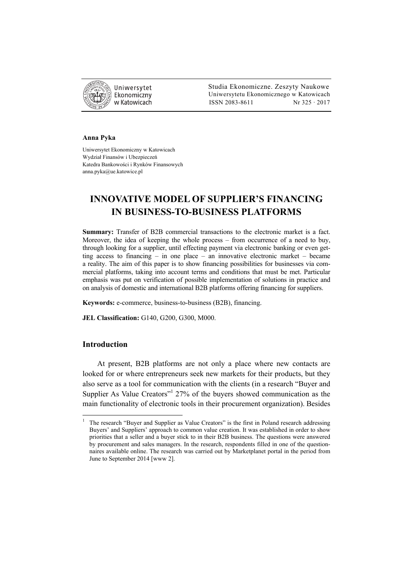

 Studia Ekonomiczne. Zeszyty Naukowe Ekonomiczny Uniwersytetu Ekonomicznego w Katowicach w Katowicach Matsus (ISSN 2083-8611 Nr 325 · 2017

#### **Anna Pyka**

Uniwersytet Ekonomiczny w Katowicach Wydział Finansów i Ubezpieczeń Katedra Bankowości i Rynków Finansowych anna.pyka@ue.katowice.pl

# **INNOVATIVE MODEL OF SUPPLIER'S FINANCING IN BUSINESS-TO-BUSINESS PLATFORMS**

**Summary:** Transfer of B2B commercial transactions to the electronic market is a fact. Moreover, the idea of keeping the whole process – from occurrence of a need to buy, through looking for a supplier, until effecting payment via electronic banking or even getting access to financing – in one place – an innovative electronic market – became a reality. The aim of this paper is to show financing possibilities for businesses via commercial platforms, taking into account terms and conditions that must be met. Particular emphasis was put on verification of possible implementation of solutions in practice and on analysis of domestic and international B2B platforms offering financing for suppliers.

**Keywords:** e-commerce, business-to-business (B2B), financing.

**JEL Classification:** G140, G200, G300, M000.

## **Introduction**

 $\overline{a}$ 

At present, B2B platforms are not only a place where new contacts are looked for or where entrepreneurs seek new markets for their products, but they also serve as a tool for communication with the clients (in a research "Buyer and Supplier As Value Creators"<sup>1</sup> 27% of the buyers showed communication as the main functionality of electronic tools in their procurement organization). Besides

<sup>1</sup> The research "Buyer and Supplier as Value Creators" is the first in Poland research addressing Buyers' and Suppliers' approach to common value creation. It was established in order to show priorities that a seller and a buyer stick to in their B2B business. The questions were answered by procurement and sales managers. In the research, respondents filled in one of the questionnaires available online. The research was carried out by Marketplanet portal in the period from June to September 2014 [www 2].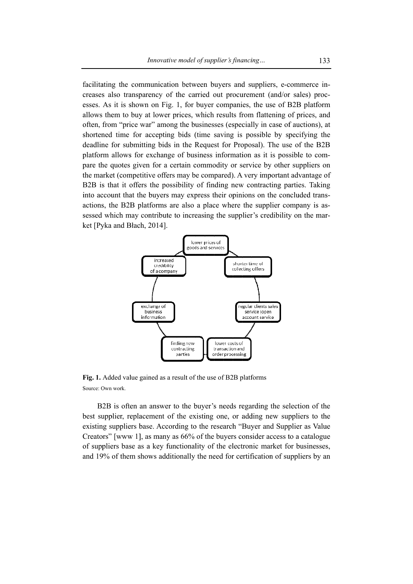facilitating the communication between buyers and suppliers, e-commerce increases also transparency of the carried out procurement (and/or sales) processes. As it is shown on Fig. 1, for buyer companies, the use of B2B platform allows them to buy at lower prices, which results from flattening of prices, and often, from "price war" among the businesses (especially in case of auctions), at shortened time for accepting bids (time saving is possible by specifying the deadline for submitting bids in the Request for Proposal). The use of the B2B platform allows for exchange of business information as it is possible to compare the quotes given for a certain commodity or service by other suppliers on the market (competitive offers may be compared). A very important advantage of B2B is that it offers the possibility of finding new contracting parties. Taking into account that the buyers may express their opinions on the concluded transactions, the B2B platforms are also a place where the supplier company is assessed which may contribute to increasing the supplier's credibility on the market [Pyka and Błach, 2014].



Fig. 1. Added value gained as a result of the use of B2B platforms Source: Own work

B2B is often an answer to the buyer's needs regarding the selection of the best supplier, replacement of the existing one, or adding new suppliers to the existing suppliers base. According to the research "Buyer and Supplier as Value Creators" [www 1], as many as 66% of the buyers consider access to a catalogue of suppliers base as a key functionality of the electronic market for businesses, and 19% of them shows additionally the need for certification of suppliers by an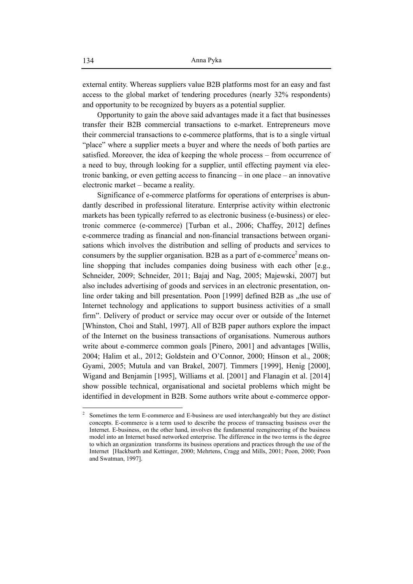external entity. Whereas suppliers value B2B platforms most for an easy and fast access to the global market of tendering procedures (nearly 32% respondents) and opportunity to be recognized by buyers as a potential supplier.

Opportunity to gain the above said advantages made it a fact that businesses transfer their B2B commercial transactions to e-market. Entrepreneurs move their commercial transactions to e-commerce platforms, that is to a single virtual "place" where a supplier meets a buyer and where the needs of both parties are satisfied. Moreover, the idea of keeping the whole process – from occurrence of a need to buy, through looking for a supplier, until effecting payment via electronic banking, or even getting access to financing – in one place – an innovative electronic market – became a reality.

Significance of e-commerce platforms for operations of enterprises is abundantly described in professional literature. Enterprise activity within electronic markets has been typically referred to as electronic business (e-business) or electronic commerce (e-commerce) [Turban et al., 2006; Chaffey, 2012] defines e-commerce trading as financial and non-financial transactions between organisations which involves the distribution and selling of products and services to consumers by the supplier organisation. B2B as a part of e-commerce<sup>2</sup> means online shopping that includes companies doing business with each other [e.g., Schneider, 2009; Schneider, 2011; Bajaj and Nag, 2005; Majewski, 2007] but also includes advertising of goods and services in an electronic presentation, online order taking and bill presentation. Poon [1999] defined B2B as "the use of Internet technology and applications to support business activities of a small firm". Delivery of product or service may occur over or outside of the Internet [Whinston, Choi and Stahl, 1997]. All of B2B paper authors explore the impact of the Internet on the business transactions of organisations. Numerous authors write about e-commerce common goals [Pinero, 2001] and advantages [Willis, 2004; Halim et al., 2012; Goldstein and O'Connor, 2000; Hinson et al., 2008; Gyami, 2005; Mutula and van Brakel, 2007]. Timmers [1999], Henig [2000], Wigand and Benjamin [1995], Williams et al. [2001] and Flanagin et al. [2014] show possible technical, organisational and societal problems which might be identified in development in B2B. Some authors write about e-commerce oppor-

<sup>2</sup> Sometimes the term E-commerce and E-business are used interchangeably but they are distinct concepts. E-commerce is a term used to describe the process of transacting business over the Internet. E-business, on the other hand, involves the fundamental reengineering of the business model into an Internet based networked enterprise. The difference in the two terms is the degree to which an organization transforms its business operations and practices through the use of the Internet [Hackbarth and Kettinger, 2000; Mehrtens, Cragg and Mills, 2001; Poon, 2000; Poon and Swatman, 1997].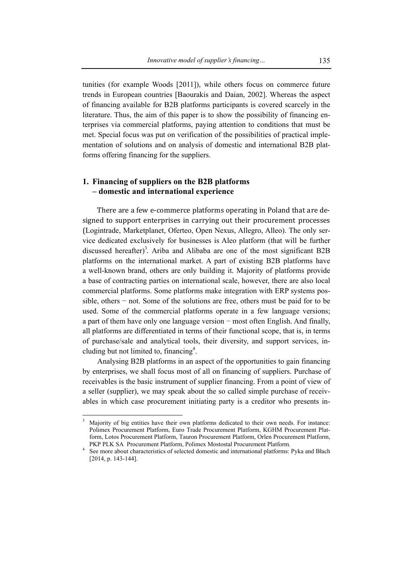tunities (for example Woods [2011]), while others focus on commerce future trends in European countries [Baourakis and Daian, 2002]. Whereas the aspect of financing available for B2B platforms participants is covered scarcely in the literature. Thus, the aim of this paper is to show the possibility of financing enterprises via commercial platforms, paying attention to conditions that must be met. Special focus was put on verification of the possibilities of practical implementation of solutions and on analysis of domestic and international B2B platforms offering financing for the suppliers.

## **1. Financing of suppliers on the B2B platforms – domestic and international experience**

There are a few e-commerce platforms operating in Poland that are designed to support enterprises in carrying out their procurement processes (Logintrade, Marketplanet, Oferteo, Open Nexus, Allegro, Alleo). The only service dedicated exclusively for businesses is Aleo platform (that will be further discussed hereafter)<sup>3</sup>. Ariba and Alibaba are one of the most significant B2B platforms on the international market. A part of existing B2B platforms have a well-known brand, others are only building it. Majority of platforms provide a base of contracting parties on international scale, however, there are also local commercial platforms. Some platforms make integration with ERP systems possible, others − not. Some of the solutions are free, others must be paid for to be used. Some of the commercial platforms operate in a few language versions; a part of them have only one language version − most often English. And finally, all platforms are differentiated in terms of their functional scope, that is, in terms of purchase/sale and analytical tools, their diversity, and support services, including but not limited to, financing<sup>4</sup>.

Analysing B2B platforms in an aspect of the opportunities to gain financing by enterprises, we shall focus most of all on financing of suppliers. Purchase of receivables is the basic instrument of supplier financing. From a point of view of a seller (supplier), we may speak about the so called simple purchase of receivables in which case procurement initiating party is a creditor who presents in-

<sup>3</sup> Majority of big entities have their own platforms dedicated to their own needs. For instance: Polimex Procurement Platform, Euro Trade Procurement Platform, KGHM Procurement Platform, Lotos Procurement Platform, Tauron Procurement Platform, Orlen Procurement Platform, PKP PLK SA Procurement Platform, Polimex Mostostal Procurement Platform.

<sup>&</sup>lt;sup>4</sup> See more about characteristics of selected domestic and international platforms: Pyka and Błach [2014, p. 143-144].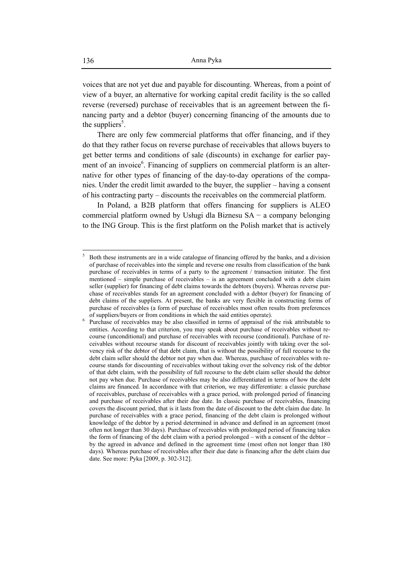voices that are not yet due and payable for discounting. Whereas, from a point of view of a buyer, an alternative for working capital credit facility is the so called reverse (reversed) purchase of receivables that is an agreement between the financing party and a debtor (buyer) concerning financing of the amounts due to the suppliers<sup>5</sup>.

There are only few commercial platforms that offer financing, and if they do that they rather focus on reverse purchase of receivables that allows buyers to get better terms and conditions of sale (discounts) in exchange for earlier payment of an invoice<sup>6</sup>. Financing of suppliers on commercial platform is an alternative for other types of financing of the day-to-day operations of the companies. Under the credit limit awarded to the buyer, the supplier – having a consent of his contracting party – discounts the receivables on the commercial platform.

In Poland, a B2B platform that offers financing for suppliers is ALEO commercial platform owned by Usługi dla Biznesu SA − a company belonging to the ING Group. This is the first platform on the Polish market that is actively

<sup>5</sup> Both these instruments are in a wide catalogue of financing offered by the banks, and a division of purchase of receivables into the simple and reverse one results from classification of the bank purchase of receivables in terms of a party to the agreement / transaction initiator. The first mentioned – simple purchase of receivables – is an agreement concluded with a debt claim seller (supplier) for financing of debt claims towards the debtors (buyers). Whereas reverse purchase of receivables stands for an agreement concluded with a debtor (buyer) for financing of debt claims of the suppliers. At present, the banks are very flexible in constructing forms of purchase of receivables (a form of purchase of receivables most often results from preferences of suppliers/buyers or from conditions in which the said entities operate).

Purchase of receivables may be also classified in terms of appraisal of the risk attributable to entities. According to that criterion, you may speak about purchase of receivables without recourse (unconditional) and purchase of receivables with recourse (conditional). Purchase of receivables without recourse stands for discount of receivables jointly with taking over the solvency risk of the debtor of that debt claim, that is without the possibility of full recourse to the debt claim seller should the debtor not pay when due. Whereas, purchase of receivables with recourse stands for discounting of receivables without taking over the solvency risk of the debtor of that debt claim, with the possibility of full recourse to the debt claim seller should the debtor not pay when due. Purchase of receivables may be also differentiated in terms of how the debt claims are financed. In accordance with that criterion, we may differentiate: a classic purchase of receivables, purchase of receivables with a grace period, with prolonged period of financing and purchase of receivables after their due date. In classic purchase of receivables, financing covers the discount period, that is it lasts from the date of discount to the debt claim due date. In purchase of receivables with a grace period, financing of the debt claim is prolonged without knowledge of the debtor by a period determined in advance and defined in an agreement (most often not longer than 30 days). Purchase of receivables with prolonged period of financing takes the form of financing of the debt claim with a period prolonged – with a consent of the debtor – by the agreed in advance and defined in the agreement time (most often not longer than 180 days). Whereas purchase of receivables after their due date is financing after the debt claim due date. See more: Pyka [2009, p. 302-312].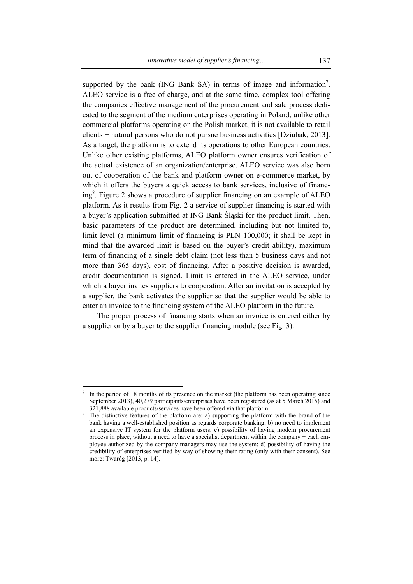supported by the bank (ING Bank SA) in terms of image and information<sup>7</sup>. ALEO service is a free of charge, and at the same time, complex tool offering the companies effective management of the procurement and sale process dedicated to the segment of the medium enterprises operating in Poland; unlike other commercial platforms operating on the Polish market, it is not available to retail clients − natural persons who do not pursue business activities [Dziubak, 2013]. As a target, the platform is to extend its operations to other European countries. Unlike other existing platforms, ALEO platform owner ensures verification of the actual existence of an organization/enterprise. ALEO service was also born out of cooperation of the bank and platform owner on e-commerce market, by which it offers the buyers a quick access to bank services, inclusive of financing<sup>8</sup>. Figure 2 shows a procedure of supplier financing on an example of ALEO platform. As it results from Fig. 2 a service of supplier financing is started with a buyer's application submitted at ING Bank Śląski for the product limit. Then, basic parameters of the product are determined, including but not limited to, limit level (a minimum limit of financing is PLN 100,000; it shall be kept in mind that the awarded limit is based on the buyer's credit ability), maximum term of financing of a single debt claim (not less than 5 business days and not more than 365 days), cost of financing. After a positive decision is awarded, credit documentation is signed. Limit is entered in the ALEO service, under which a buyer invites suppliers to cooperation. After an invitation is accepted by a supplier, the bank activates the supplier so that the supplier would be able to enter an invoice to the financing system of the ALEO platform in the future.

The proper process of financing starts when an invoice is entered either by a supplier or by a buyer to the supplier financing module (see Fig. 3).

<sup>7</sup> In the period of 18 months of its presence on the market (the platform has been operating since September 2013), 40,279 participants/enterprises have been registered (as at 5 March 2015) and

 $321,888$  available products/services have been offered via that platform.<br>The distinctive features of the platform are: a) supporting the platform with the brand of the bank having a well-established position as regards corporate banking; b) no need to implement an expensive IT system for the platform users; c) possibility of having modern procurement process in place, without a need to have a specialist department within the company − each employee authorized by the company managers may use the system; d) possibility of having the credibility of enterprises verified by way of showing their rating (only with their consent). See more: Twaróg [2013, p. 14].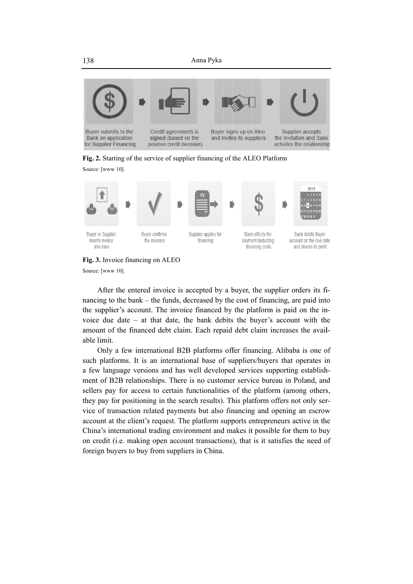



Source: [www 10]





After the entered invoice is accepted by a buyer, the supplier orders its financing to the bank – the funds, decreased by the cost of financing, are paid into the supplier's account. The invoice financed by the platform is paid on the invoice due date - at that date, the bank debits the buyer's account with the amount of the financed debt claim. Each repaid debt claim increases the available limit.

Only a few international B2B platforms offer financing. Alibaba is one of such platforms. It is an international base of suppliers/buyers that operates in a few language versions and has well developed services supporting establishment of B2B relationships. There is no customer service bureau in Poland, and sellers pay for access to certain functionalities of the platform (among others, they pay for positioning in the search results). This platform offers not only service of transaction related payments but also financing and opening an escrow account at the client's request. The platform supports entrepreneurs active in the China's international trading environment and makes it possible for them to buy on credit (i.e. making open account transactions), that is it satisfies the need of foreign buyers to buy from suppliers in China.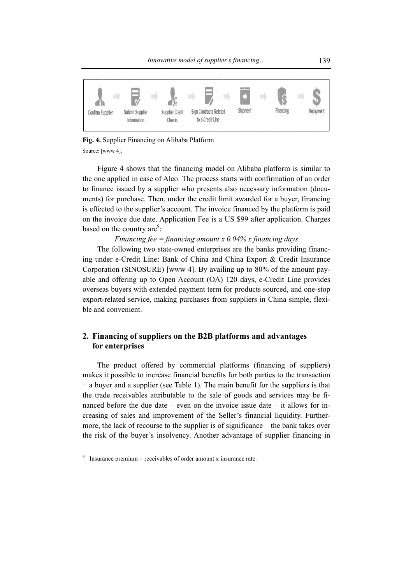

Fig. 4. Supplier Financing on Alibaba Platform

Source: [www 4].

Figure 4 shows that the financing model on Alibaba platform is similar to the one applied in case of Aleo. The process starts with confirmation of an order to finance issued by a supplier who presents also necessary information (documents) for purchase. Then, under the credit limit awarded for a buyer, financing is effected to the supplier's account. The invoice financed by the platform is paid on the invoice due date. Application Fee is a US \$99 after application. Charges based on the country are<sup>9</sup>:

Financing fee = financing amount x  $0.04\%$  x financing days

The following two state-owned enterprises are the banks providing financing under e-Credit Line: Bank of China and China Export & Credit Insurance Corporation (SINOSURE) [www 4]. By availing up to 80% of the amount payable and offering up to Open Account (OA) 120 days, e-Credit Line provides overseas buyers with extended payment term for products sourced, and one-stop export-related service, making purchases from suppliers in China simple, flexible and convenient.

## 2. Financing of suppliers on the B2B platforms and advantages for enterprises

The product offered by commercial platforms (financing of suppliers) makes it possible to increase financial benefits for both parties to the transaction  $-$  a buver and a supplier (see Table 1). The main benefit for the suppliers is that the trade receivables attributable to the sale of goods and services may be financed before the due date – even on the invoice issue date – it allows for increasing of sales and improvement of the Seller's financial liquidity. Furthermore, the lack of recourse to the supplier is of significance – the bank takes over the risk of the buyer's insolvency. Another advantage of supplier financing in

Insurance premium = receivables of order amount  $x$  insurance rate.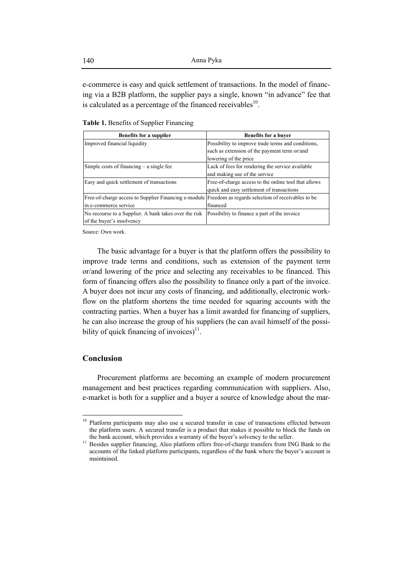e-commerce is easy and quick settlement of transactions. In the model of financing via a B2B platform, the supplier pays a single, known "in advance" fee that is calculated as a percentage of the financed receivables $10$ .

**Table 1.** Benefits of Supplier Financing

| <b>Benefits for a supplier</b>                                                                         | <b>Benefits for a buver</b>                          |
|--------------------------------------------------------------------------------------------------------|------------------------------------------------------|
| Improved financial liquidity                                                                           | Possibility to improve trade terms and conditions,   |
|                                                                                                        | such as extension of the payment term or/and         |
|                                                                                                        | lowering of the price                                |
| Simple costs of financing $-$ a single fee                                                             | Lack of fees for rendering the service available     |
|                                                                                                        | and making use of the service                        |
| Easy and quick settlement of transactions                                                              | Free-of-charge access to the online tool that allows |
|                                                                                                        | quick and easy settlement of transactions            |
| Free-of-charge access to Supplier Financing e-module Freedom as regards selection of receivables to be |                                                      |
| in e-commerce service                                                                                  | financed                                             |
| No recourse to a Supplier. A bank takes over the risk                                                  | Possibility to finance a part of the invoice         |
| of the buyer's insolvency                                                                              |                                                      |

Source: Own work.

The basic advantage for a buyer is that the platform offers the possibility to improve trade terms and conditions, such as extension of the payment term or/and lowering of the price and selecting any receivables to be financed. This form of financing offers also the possibility to finance only a part of the invoice. A buyer does not incur any costs of financing, and additionally, electronic workflow on the platform shortens the time needed for squaring accounts with the contracting parties. When a buyer has a limit awarded for financing of suppliers, he can also increase the group of his suppliers (he can avail himself of the possibility of quick financing of invoices) $11$ .

#### **Conclusion**

 $\overline{a}$ 

Procurement platforms are becoming an example of modern procurement management and best practices regarding communication with suppliers. Also, e-market is both for a supplier and a buyer a source of knowledge about the mar-

<sup>&</sup>lt;sup>10</sup> Platform participants may also use a secured transfer in case of transactions effected between the platform users. A secured transfer is a product that makes it possible to block the funds on the bank account, which provides a warranty of the buyer's solvency to the seller.<br><sup>11</sup> Besides supplier financing, Aleo platform offers free-of-charge transfers from ING Bank to the

accounts of the linked platform participants, regardless of the bank where the buyer's account is maintained.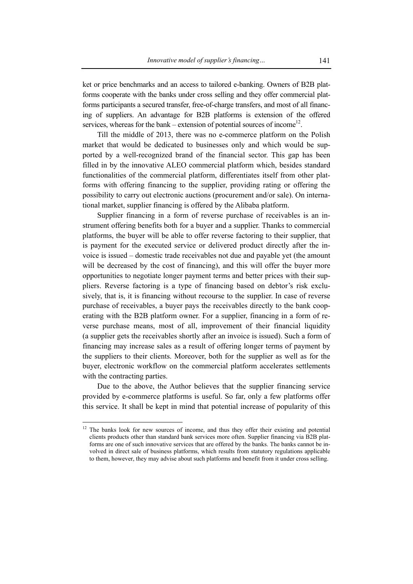ket or price benchmarks and an access to tailored e-banking. Owners of B2B platforms cooperate with the banks under cross selling and they offer commercial platforms participants a secured transfer, free-of-charge transfers, and most of all financing of suppliers. An advantage for B2B platforms is extension of the offered services, whereas for the bank – extension of potential sources of income<sup>12</sup>.

Till the middle of 2013, there was no e-commerce platform on the Polish market that would be dedicated to businesses only and which would be supported by a well-recognized brand of the financial sector. This gap has been filled in by the innovative ALEO commercial platform which, besides standard functionalities of the commercial platform, differentiates itself from other platforms with offering financing to the supplier, providing rating or offering the possibility to carry out electronic auctions (procurement and/or sale). On international market, supplier financing is offered by the Alibaba platform.

Supplier financing in a form of reverse purchase of receivables is an instrument offering benefits both for a buyer and a supplier. Thanks to commercial platforms, the buyer will be able to offer reverse factoring to their supplier, that is payment for the executed service or delivered product directly after the invoice is issued – domestic trade receivables not due and payable yet (the amount will be decreased by the cost of financing), and this will offer the buyer more opportunities to negotiate longer payment terms and better prices with their suppliers. Reverse factoring is a type of financing based on debtor's risk exclusively, that is, it is financing without recourse to the supplier. In case of reverse purchase of receivables, a buyer pays the receivables directly to the bank cooperating with the B2B platform owner. For a supplier, financing in a form of reverse purchase means, most of all, improvement of their financial liquidity (a supplier gets the receivables shortly after an invoice is issued). Such a form of financing may increase sales as a result of offering longer terms of payment by the suppliers to their clients. Moreover, both for the supplier as well as for the buyer, electronic workflow on the commercial platform accelerates settlements with the contracting parties.

Due to the above, the Author believes that the supplier financing service provided by e-commerce platforms is useful. So far, only a few platforms offer this service. It shall be kept in mind that potential increase of popularity of this

 $12$  The banks look for new sources of income, and thus they offer their existing and potential clients products other than standard bank services more often. Supplier financing via B2B platforms are one of such innovative services that are offered by the banks. The banks cannot be involved in direct sale of business platforms, which results from statutory regulations applicable to them, however, they may advise about such platforms and benefit from it under cross selling.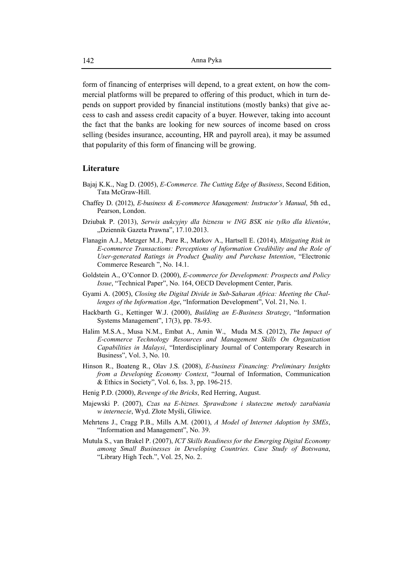form of financing of enterprises will depend, to a great extent, on how the commercial platforms will be prepared to offering of this product, which in turn depends on support provided by financial institutions (mostly banks) that give access to cash and assess credit capacity of a buyer. However, taking into account the fact that the banks are looking for new sources of income based on cross selling (besides insurance, accounting, HR and payroll area), it may be assumed that popularity of this form of financing will be growing.

#### Literature

- Bajaj K.K., Nag D. (2005), E-Commerce. The Cutting Edge of Business, Second Edition, Tata McGraw-Hill.
- Chaffey D. (2012), E-business & E-commerce Management: Instructor's Manual, 5th ed., Pearson, London.
- Dziubak P. (2013), Serwis aukcyjny dla biznesu w ING BSK nie tylko dla klientów, "Dziennik Gazeta Prawna", 17.10.2013.
- Flanagin A.J., Metzger M.J., Pure R., Markov A., Hartsell E. (2014), Mitigating Risk in E-commerce Transactions: Perceptions of Information Credibility and the Role of User-generated Ratings in Product Quality and Purchase Intention, "Electronic Commerce Research ", No. 14.1.
- Goldstein A., O'Connor D. (2000), *E-commerce for Development: Prospects and Policy* Issue, "Technical Paper", No. 164, OECD Development Center, Paris.
- Gyami A. (2005), Closing the Digital Divide in Sub-Saharan Africa: Meeting the Challenges of the Information Age, "Information Development", Vol. 21, No. 1.
- Hackbarth G., Kettinger W.J. (2000), Building an E-Business Strategy, "Information Systems Management", 17(3), pp. 78-93.
- Halim M.S.A., Musa N.M., Embat A., Amin W., Muda M.S. (2012), The Impact of E-commerce Technology Resources and Management Skills On Organization Capabilities in Malaysi, "Interdisciplinary Journal of Contemporary Research in Business", Vol. 3, No. 10.
- Hinson R., Boateng R., Olav J.S. (2008), E-business Financing: Preliminary Insights from a Developing Economy Context, "Journal of Information, Communication & Ethics in Society", Vol. 6, Iss. 3, pp. 196-215.
- Henig P.D. (2000), Revenge of the Bricks, Red Herring, August.
- Majewski P. (2007), Czas na E-biznes. Sprawdzone i skuteczne metody zarabiania w internecie, Wyd. Złote Myśli, Gliwice.
- Mehrtens J., Cragg P.B., Mills A.M. (2001), A Model of Internet Adoption by SMEs. "Information and Management", No. 39.
- Mutula S., van Brakel P. (2007), ICT Skills Readiness for the Emerging Digital Economy among Small Businesses in Developing Countries. Case Study of Botswana, "Library High Tech.", Vol. 25, No. 2.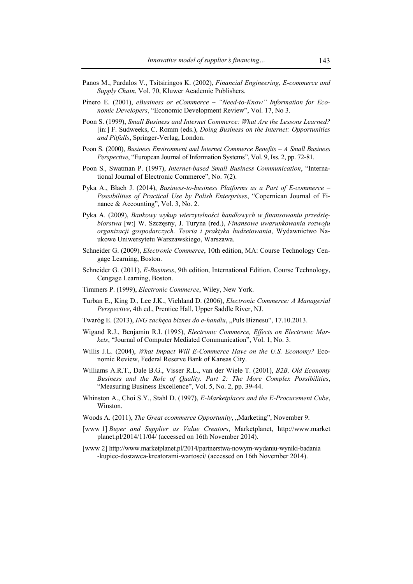- Panos M., Pardalos V., Tsitsiringos K. (2002), Financial Engineering, E-commerce and Supply Chain, Vol. 70, Kluwer Academic Publishers.
- Pinero E. (2001), eBusiness or eCommerce "Need-to-Know" Information for Economic Developers, "Economic Development Review", Vol. 17, No 3.
- Poon S. (1999), Small Business and Internet Commerce: What Are the Lessons Learned? [in:] F. Sudweeks, C. Romm (eds.), *Doing Business on the Internet: Opportunities* and Pitfalls, Springer-Verlag, London.
- Poon S. (2000), Business Environment and Internet Commerce Benefits  $-A$  Small Business *Perspective*, "European Journal of Information Systems", Vol. 9, Iss. 2, pp. 72-81.
- Poon S., Swatman P. (1997), Internet-based Small Business Communication, "International Journal of Electronic Commerce", No. 7(2).
- Pyka A., Błach J. (2014), Business-to-business Platforms as a Part of E-commerce -*Possibilities of Practical Use by Polish Enterprises, "Copernican Journal of Fi*nance & Accounting", Vol. 3, No. 2.
- Pyka A. (2009), Bankowy wykup wierzytelności handlowych w finansowaniu przedsiebiorstwa [w:] W. Szczęsny, J. Turyna (red.), Finansowe uwarunkowania rozwoju organizacji gospodarczych. Teoria i praktyka budżetowania, Wydawnictwo Naukowe Uniwersytetu Warszawskiego, Warszawa.
- Schneider G. (2009), Electronic Commerce, 10th edition, MA: Course Technology Cengage Learning, Boston.
- Schneider G. (2011), *E-Business*, 9th edition, International Edition, Course Technology, Cengage Learning, Boston.
- Timmers P. (1999), *Electronic Commerce*, Wiley, New York.
- Turban E., King D., Lee J.K., Viehland D. (2006), Electronic Commerce: A Managerial Perspective, 4th ed., Prentice Hall, Upper Saddle River, NJ.
- Twaróg E. (2013), ING zachęca biznes do e-handlu, "Puls Biznesu", 17.10.2013.
- Wigand R.J., Benjamin R.I. (1995), Electronic Commerce, Effects on Electronic Markets, "Journal of Computer Mediated Communication", Vol. 1, No. 3.
- Willis J.L. (2004), What Impact Will E-Commerce Have on the U.S. Economy? Economic Review, Federal Reserve Bank of Kansas City.
- Williams A.R.T., Dale B.G., Visser R.L., van der Wiele T. (2001), B2B, Old Economy Business and the Role of Quality. Part 2: The More Complex Possibilities, "Measuring Business Excellence", Vol. 5, No. 2, pp. 39-44.
- Whinston A., Choi S.Y., Stahl D. (1997), E-Marketplaces and the E-Procurement Cube, Winston.
- Woods A. (2011), The Great ecommerce Opportunity, "Marketing", November 9.
- [www 1] Buyer and Supplier as Value Creators, Marketplanet, http://www.market planet.pl/2014/11/04/ (accessed on 16th November 2014).
- [www2] http://www.marketplanet.pl/2014/partnerstwa-nowym-wydaniu-wyniki-badania -kupiec-dostawca-kreatorami-wartosci/ (accessed on 16th November 2014).